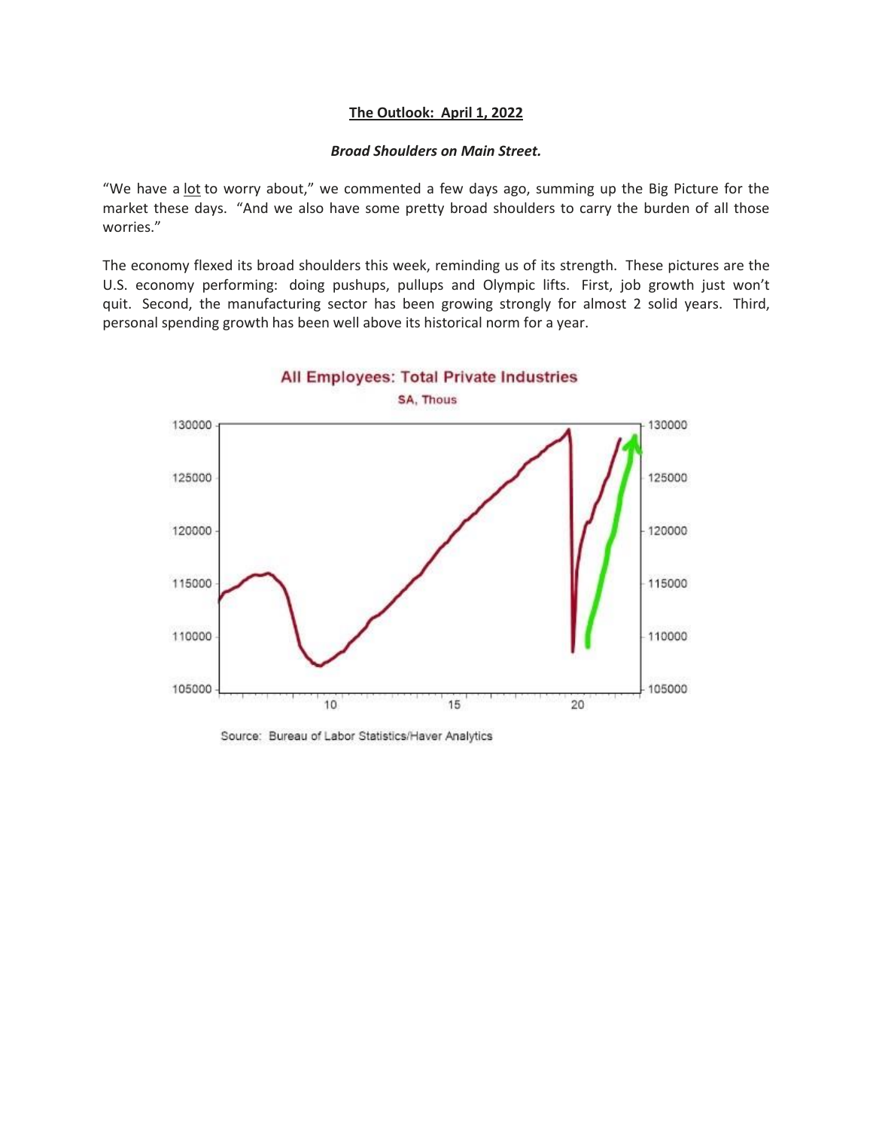## **The Outlook: April 1, 2022**

## *Broad Shoulders on Main Street.*

"We have a lot to worry about," we commented a few days ago, summing up the Big Picture for the market these days. "And we also have some pretty broad shoulders to carry the burden of all those worries."

The economy flexed its broad shoulders this week, reminding us of its strength. These pictures are the U.S. economy performing: doing pushups, pullups and Olympic lifts. First, job growth just won't quit. Second, the manufacturing sector has been growing strongly for almost 2 solid years. Third, personal spending growth has been well above its historical norm for a year.



Source: Bureau of Labor Statistics/Haver Analytics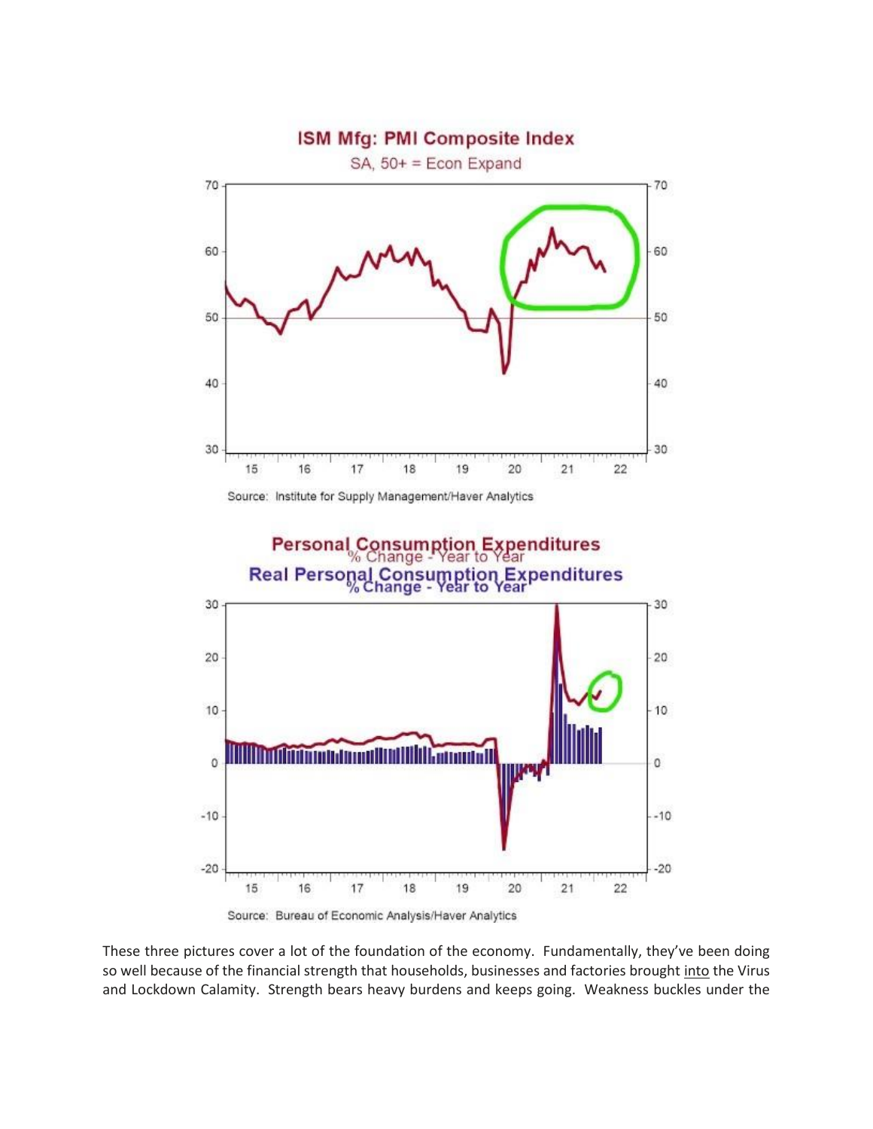

Source: Institute for Supply Management/Haver Analytics



Source: Bureau of Economic Analysis/Haver Analytics

These three pictures cover a lot of the foundation of the economy. Fundamentally, they've been doing so well because of the financial strength that households, businesses and factories brought into the Virus and Lockdown Calamity. Strength bears heavy burdens and keeps going. Weakness buckles under the